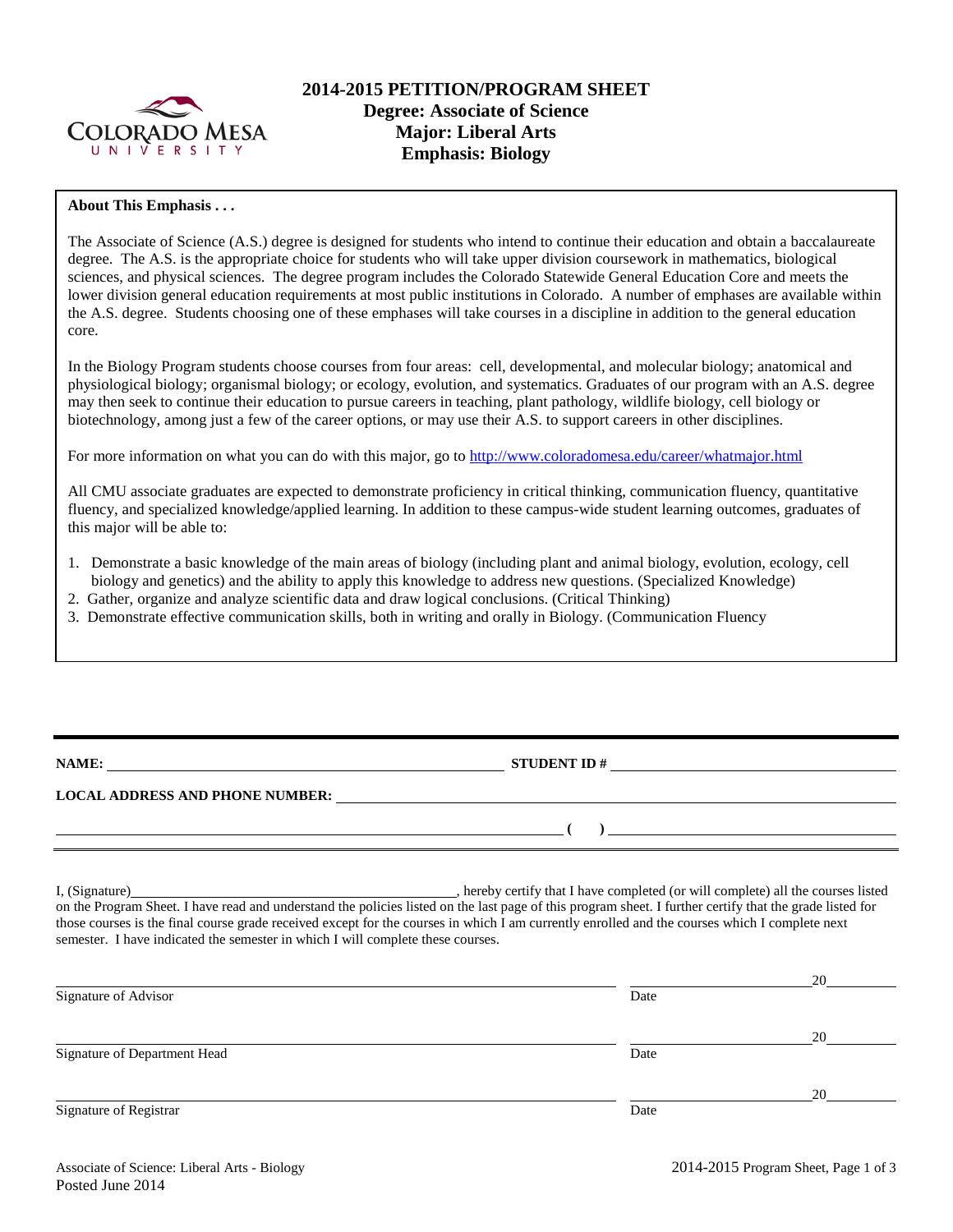

# **2014-2015 PETITION/PROGRAM SHEET Degree: Associate of Science Major: Liberal Arts Emphasis: Biology**

## **About This Emphasis . . .**

The Associate of Science (A.S.) degree is designed for students who intend to continue their education and obtain a baccalaureate degree. The A.S. is the appropriate choice for students who will take upper division coursework in mathematics, biological sciences, and physical sciences. The degree program includes the Colorado Statewide General Education Core and meets the lower division general education requirements at most public institutions in Colorado. A number of emphases are available within the A.S. degree. Students choosing one of these emphases will take courses in a discipline in addition to the general education core.

In the Biology Program students choose courses from four areas: cell, developmental, and molecular biology; anatomical and physiological biology; organismal biology; or ecology, evolution, and systematics. Graduates of our program with an A.S. degree may then seek to continue their education to pursue careers in teaching, plant pathology, wildlife biology, cell biology or biotechnology, among just a few of the career options, or may use their A.S. to support careers in other disciplines.

For more information on what you can do with this major, go to<http://www.coloradomesa.edu/career/whatmajor.html>

All CMU associate graduates are expected to demonstrate proficiency in critical thinking, communication fluency, quantitative fluency, and specialized knowledge/applied learning. In addition to these campus-wide student learning outcomes, graduates of this major will be able to:

- 1. Demonstrate a basic knowledge of the main areas of biology (including plant and animal biology, evolution, ecology, cell biology and genetics) and the ability to apply this knowledge to address new questions. (Specialized Knowledge)
- 2. Gather, organize and analyze scientific data and draw logical conclusions. (Critical Thinking)
- 3. Demonstrate effective communication skills, both in writing and orally in Biology. (Communication Fluency

**NAME: STUDENT ID #**

**LOCAL ADDRESS AND PHONE NUMBER:**

I, (Signature) , hereby certify that I have completed (or will complete) all the courses listed on the Program Sheet. I have read and understand the policies listed on the last page of this program sheet. I further certify that the grade listed for those courses is the final course grade received except for the courses in which I am currently enrolled and the courses which I complete next semester. I have indicated the semester in which I will complete these courses.

|                              |      | 20 |
|------------------------------|------|----|
| Signature of Advisor         | Date |    |
|                              |      | 20 |
| Signature of Department Head | Date |    |
|                              |      | 20 |
| Signature of Registrar       | Date |    |

**( )**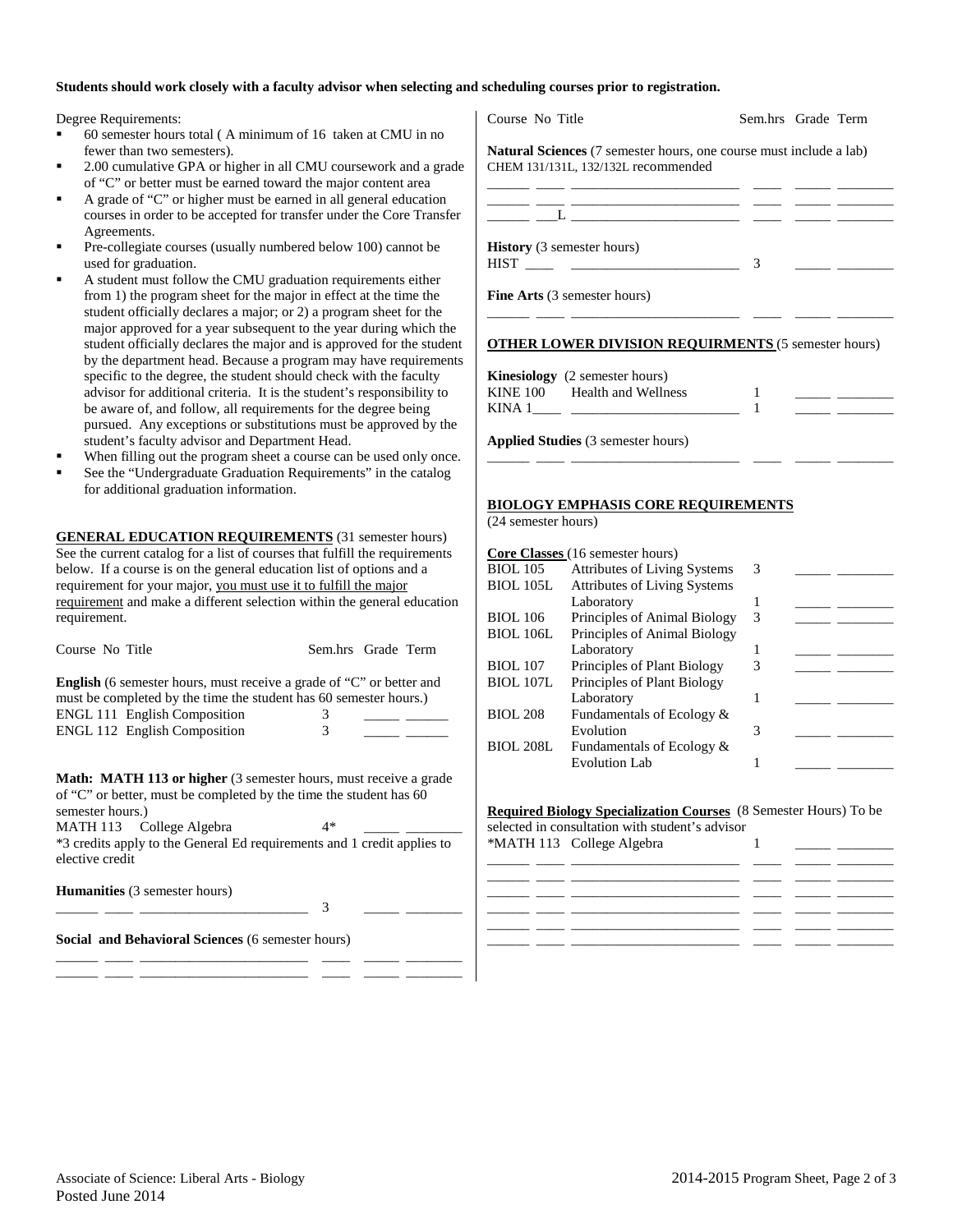### **Students should work closely with a faculty advisor when selecting and scheduling courses prior to registration.**

Degree Requirements:

- 60 semester hours total ( A minimum of 16 taken at CMU in no fewer than two semesters).
- 2.00 cumulative GPA or higher in all CMU coursework and a grade of "C" or better must be earned toward the major content area
- A grade of "C" or higher must be earned in all general education courses in order to be accepted for transfer under the Core Transfer Agreements.
- Pre-collegiate courses (usually numbered below 100) cannot be used for graduation.
- A student must follow the CMU graduation requirements either from 1) the program sheet for the major in effect at the time the student officially declares a major; or 2) a program sheet for the major approved for a year subsequent to the year during which the student officially declares the major and is approved for the student by the department head. Because a program may have requirements specific to the degree, the student should check with the faculty advisor for additional criteria. It is the student's responsibility to be aware of, and follow, all requirements for the degree being pursued. Any exceptions or substitutions must be approved by the student's faculty advisor and Department Head.
- When filling out the program sheet a course can be used only once.
- See the "Undergraduate Graduation Requirements" in the catalog for additional graduation information.

**GENERAL EDUCATION REQUIREMENTS** (31 semester hours) See the current catalog for a list of courses that fulfill the requirements below. If a course is on the general education list of options and a requirement for your major, you must use it to fulfill the major requirement and make a different selection within the general education requirement.

| Course No Title |  | Sem.hrs Grade Term |  |
|-----------------|--|--------------------|--|
|                 |  |                    |  |

**English** (6 semester hours, must receive a grade of "C" or better and must be completed by the time the student has 60 semester hours.) ENGL 111 English Composition 3 ENGL 112 English Composition 3

**Math: MATH 113 or higher** (3 semester hours, must receive a grade of "C" or better, must be completed by the time the student has 60 semester hours.) MATH 113 College Algebra 4\*

\*3 credits apply to the General Ed requirements and 1 credit applies to elective credit

\_\_\_\_\_\_ \_\_\_\_ \_\_\_\_\_\_\_\_\_\_\_\_\_\_\_\_\_\_\_\_\_\_\_\_ 3 \_\_\_\_\_ \_\_\_\_\_\_\_\_

\_\_\_\_\_\_ \_\_\_\_ \_\_\_\_\_\_\_\_\_\_\_\_\_\_\_\_\_\_\_\_\_\_\_\_ \_\_\_\_ \_\_\_\_\_ \_\_\_\_\_\_\_\_ \_\_\_\_\_\_ \_\_\_\_ \_\_\_\_\_\_\_\_\_\_\_\_\_\_\_\_\_\_\_\_\_\_\_\_ \_\_\_\_ \_\_\_\_\_ \_\_\_\_\_\_\_\_

**Humanities** (3 semester hours)

**Social and Behavioral Sciences** (6 semester hours)

| <b>Natural Sciences</b> (7 semester hours, one course must include a lab) |               |  |
|---------------------------------------------------------------------------|---------------|--|
| CHEM 131/131L, 132/132L recommended                                       |               |  |
|                                                                           |               |  |
|                                                                           |               |  |
| <b>History</b> (3 semester hours)                                         |               |  |
|                                                                           | $\mathcal{R}$ |  |
| <b>Fine Arts</b> (3 semester hours)                                       |               |  |
| <b>OTHER LOWER DIVISION REQUIRMENTS (5 semester hours)</b>                |               |  |
|                                                                           |               |  |
| <b>Kinesiology</b> (2 semester hours)                                     |               |  |
| KINE 100 Health and Wellness                                              |               |  |

**Applied Studies** (3 semester hours)

### **BIOLOGY EMPHASIS CORE REQUIREMENTS**

(24 semester hours)

|                  | <b>Core Classes</b> (16 semester hours) |   |  |
|------------------|-----------------------------------------|---|--|
| <b>BIOL</b> 105  | <b>Attributes of Living Systems</b>     | 3 |  |
| <b>BIOL 105L</b> | <b>Attributes of Living Systems</b>     |   |  |
|                  | Laboratory                              |   |  |
| <b>BIOL 106</b>  | Principles of Animal Biology            | 3 |  |
| <b>BIOL 106L</b> | Principles of Animal Biology            |   |  |
|                  | Laboratory                              |   |  |
| <b>BIOL</b> 107  | Principles of Plant Biology             | 3 |  |
| <b>BIOL 107L</b> | Principles of Plant Biology             |   |  |
|                  | Laboratory                              |   |  |
| <b>BIOL 208</b>  | Fundamentals of Ecology &               |   |  |
|                  | Evolution                               | 3 |  |
| <b>BIOL 208L</b> | Fundamentals of Ecology &               |   |  |
|                  | <b>Evolution Lab</b>                    |   |  |
|                  |                                         |   |  |

\_\_\_\_\_\_ \_\_\_\_ \_\_\_\_\_\_\_\_\_\_\_\_\_\_\_\_\_\_\_\_\_\_\_\_ \_\_\_\_ \_\_\_\_\_ \_\_\_\_\_\_\_\_

#### **Required Biology Specialization Courses** (8 Semester Hours) To be

selected in consultation with student's advisor \*MATH 113 College Algebra 1